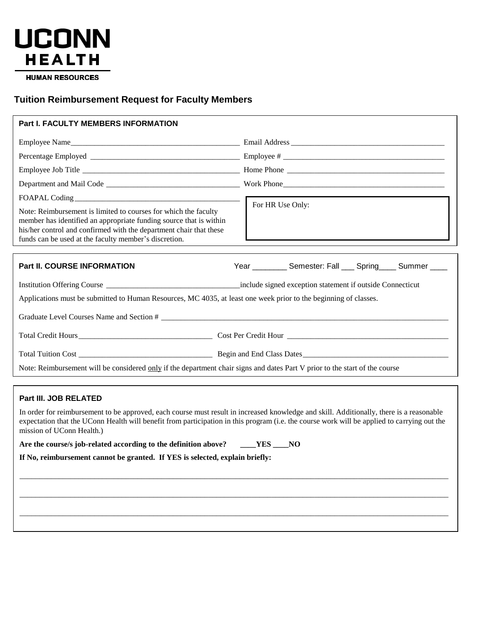

**HUMAN RESOURCES** 

# **Tuition Reimbursement Request for Faculty Members**

| Part I. FACULTY MEMBERS INFORMATION                                                                                                                                                                                                                                  |                                                                                                                                                                                                                                                                                         |
|----------------------------------------------------------------------------------------------------------------------------------------------------------------------------------------------------------------------------------------------------------------------|-----------------------------------------------------------------------------------------------------------------------------------------------------------------------------------------------------------------------------------------------------------------------------------------|
|                                                                                                                                                                                                                                                                      |                                                                                                                                                                                                                                                                                         |
|                                                                                                                                                                                                                                                                      |                                                                                                                                                                                                                                                                                         |
|                                                                                                                                                                                                                                                                      |                                                                                                                                                                                                                                                                                         |
|                                                                                                                                                                                                                                                                      |                                                                                                                                                                                                                                                                                         |
|                                                                                                                                                                                                                                                                      |                                                                                                                                                                                                                                                                                         |
| Note: Reimbursement is limited to courses for which the faculty<br>member has identified an appropriate funding source that is within<br>his/her control and confirmed with the department chair that these<br>funds can be used at the faculty member's discretion. | For HR Use Only:                                                                                                                                                                                                                                                                        |
|                                                                                                                                                                                                                                                                      |                                                                                                                                                                                                                                                                                         |
| <b>Part II. COURSE INFORMATION</b>                                                                                                                                                                                                                                   | Year ___________ Semester: Fall ____ Spring ____ Summer ____                                                                                                                                                                                                                            |
|                                                                                                                                                                                                                                                                      |                                                                                                                                                                                                                                                                                         |
| Applications must be submitted to Human Resources, MC 4035, at least one week prior to the beginning of classes.                                                                                                                                                     |                                                                                                                                                                                                                                                                                         |
|                                                                                                                                                                                                                                                                      |                                                                                                                                                                                                                                                                                         |
|                                                                                                                                                                                                                                                                      |                                                                                                                                                                                                                                                                                         |
|                                                                                                                                                                                                                                                                      |                                                                                                                                                                                                                                                                                         |
| Note: Reimbursement will be considered only if the department chair signs and dates Part V prior to the start of the course                                                                                                                                          |                                                                                                                                                                                                                                                                                         |
|                                                                                                                                                                                                                                                                      |                                                                                                                                                                                                                                                                                         |
| Part III. JOB RELATED                                                                                                                                                                                                                                                |                                                                                                                                                                                                                                                                                         |
| mission of UConn Health.)                                                                                                                                                                                                                                            | In order for reimbursement to be approved, each course must result in increased knowledge and skill. Additionally, there is a reasonable<br>expectation that the UConn Health will benefit from participation in this program (i.e. the course work will be applied to carrying out the |

\_\_\_\_\_\_\_\_\_\_\_\_\_\_\_\_\_\_\_\_\_\_\_\_\_\_\_\_\_\_\_\_\_\_\_\_\_\_\_\_\_\_\_\_\_\_\_\_\_\_\_\_\_\_\_\_\_\_\_\_\_\_\_\_\_\_\_\_\_\_\_\_\_\_\_\_\_\_\_\_\_\_\_\_\_\_\_\_\_\_\_\_\_\_\_\_\_\_\_\_\_\_\_\_\_\_\_\_\_

\_\_\_\_\_\_\_\_\_\_\_\_\_\_\_\_\_\_\_\_\_\_\_\_\_\_\_\_\_\_\_\_\_\_\_\_\_\_\_\_\_\_\_\_\_\_\_\_\_\_\_\_\_\_\_\_\_\_\_\_\_\_\_\_\_\_\_\_\_\_\_\_\_\_\_\_\_\_\_\_\_\_\_\_\_\_\_\_\_\_\_\_\_\_\_\_\_\_\_\_\_\_\_\_\_\_\_\_\_

\_\_\_\_\_\_\_\_\_\_\_\_\_\_\_\_\_\_\_\_\_\_\_\_\_\_\_\_\_\_\_\_\_\_\_\_\_\_\_\_\_\_\_\_\_\_\_\_\_\_\_\_\_\_\_\_\_\_\_\_\_\_\_\_\_\_\_\_\_\_\_\_\_\_\_\_\_\_\_\_\_\_\_\_\_\_\_\_\_\_\_\_\_\_\_\_\_\_\_\_\_\_\_\_\_\_\_\_\_

| Are the course/s job-related according to the definition above? | YES.<br>NO. |
|-----------------------------------------------------------------|-------------|
|-----------------------------------------------------------------|-------------|

**If No, reimbursement cannot be granted. If YES is selected, explain briefly:**